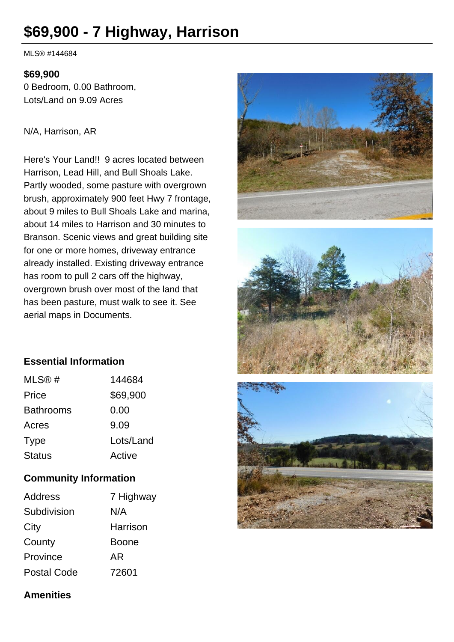# **\$69,900 - 7 Highway, Harrison**

MLS® #144684

#### **\$69,900**

0 Bedroom, 0.00 Bathroom, Lots/Land on 9.09 Acres

### N/A, Harrison, AR

Here's Your Land!! 9 acres located between Harrison, Lead Hill, and Bull Shoals Lake. Partly wooded, some pasture with overgrown brush, approximately 900 feet Hwy 7 frontage, about 9 miles to Bull Shoals Lake and marina, about 14 miles to Harrison and 30 minutes to Branson. Scenic views and great building site for one or more homes, driveway entrance already installed. Existing driveway entrance has room to pull 2 cars off the highway, overgrown brush over most of the land that has been pasture, must walk to see it. See aerial maps in Documents.







| MLS@#            | 144684    |
|------------------|-----------|
| Price            | \$69,900  |
| <b>Bathrooms</b> | 0.00      |
| Acres            | 9.09      |
| <b>Type</b>      | Lots/Land |
| <b>Status</b>    | Active    |

# **Community Information**

| <b>Address</b>     | 7 Highway    |
|--------------------|--------------|
| Subdivision        | N/A          |
| City               | Harrison     |
| County             | <b>Boone</b> |
| Province           | AR           |
| <b>Postal Code</b> | 72601        |



# **Amenities**